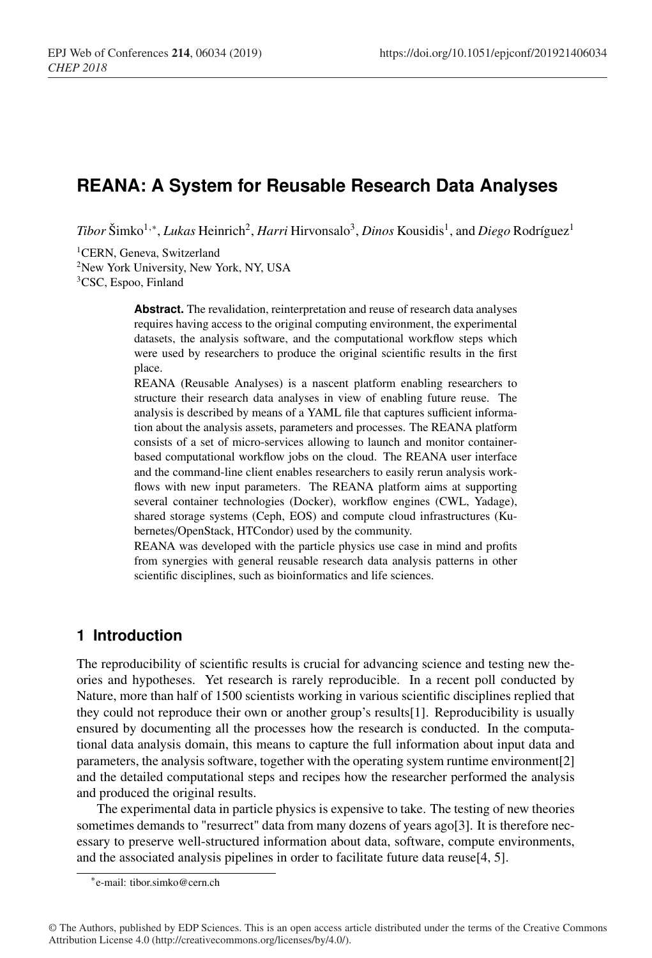# **REANA: A System for Reusable Research Data Analyses**

*Tibor* Šimko<sup>1,∗</sup>, *Lukas* Heinrich<sup>2</sup>, *Harri* Hirvonsalo<sup>3</sup>, *Dinos* Kousidis<sup>1</sup>, and *Diego* Rodríguez<sup>1</sup>

<sup>1</sup>CERN, Geneva, Switzerland

<sup>2</sup>New York University, New York, NY, USA

3CSC, Espoo, Finland

**Abstract.** The revalidation, reinterpretation and reuse of research data analyses requires having access to the original computing environment, the experimental datasets, the analysis software, and the computational workflow steps which were used by researchers to produce the original scientific results in the first place.

REANA (Reusable Analyses) is a nascent platform enabling researchers to structure their research data analyses in view of enabling future reuse. The analysis is described by means of a YAML file that captures sufficient information about the analysis assets, parameters and processes. The REANA platform consists of a set of micro-services allowing to launch and monitor containerbased computational workflow jobs on the cloud. The REANA user interface and the command-line client enables researchers to easily rerun analysis workflows with new input parameters. The REANA platform aims at supporting several container technologies (Docker), workflow engines (CWL, Yadage), shared storage systems (Ceph, EOS) and compute cloud infrastructures (Kubernetes/OpenStack, HTCondor) used by the community.

REANA was developed with the particle physics use case in mind and profits from synergies with general reusable research data analysis patterns in other scientific disciplines, such as bioinformatics and life sciences.

#### **1 Introduction**

The reproducibility of scientific results is crucial for advancing science and testing new theories and hypotheses. Yet research is rarely reproducible. In a recent poll conducted by Nature, more than half of 1500 scientists working in various scientific disciplines replied that they could not reproduce their own or another group's results[1]. Reproducibility is usually ensured by documenting all the processes how the research is conducted. In the computational data analysis domain, this means to capture the full information about input data and parameters, the analysis software, together with the operating system runtime environment[2] and the detailed computational steps and recipes how the researcher performed the analysis and produced the original results.

The experimental data in particle physics is expensive to take. The testing of new theories sometimes demands to "resurrect" data from many dozens of years ago[3]. It is therefore necessary to preserve well-structured information about data, software, compute environments, and the associated analysis pipelines in order to facilitate future data reuse[4, 5].

<sup>∗</sup>e-mail: tibor.simko@cern.ch

<sup>©</sup> The Authors, published by EDP Sciences. This is an open access article distributed under the terms of the Creative Commons Attribution License 4.0 (http://creativecommons.org/licenses/by/4.0/).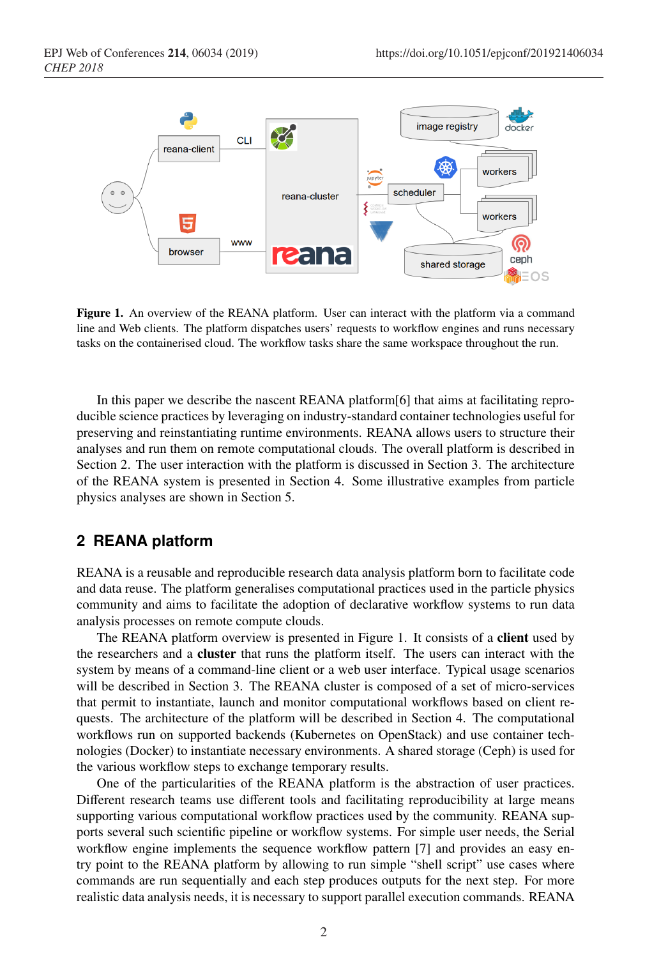

Figure 1. An overview of the REANA platform. User can interact with the platform via a command line and Web clients. The platform dispatches users' requests to workflow engines and runs necessary tasks on the containerised cloud. The workflow tasks share the same workspace throughout the run.

In this paper we describe the nascent REANA platform[6] that aims at facilitating reproducible science practices by leveraging on industry-standard container technologies useful for preserving and reinstantiating runtime environments. REANA allows users to structure their analyses and run them on remote computational clouds. The overall platform is described in Section 2. The user interaction with the platform is discussed in Section 3. The architecture of the REANA system is presented in Section 4. Some illustrative examples from particle physics analyses are shown in Section 5.

#### **2 REANA platform**

REANA is a reusable and reproducible research data analysis platform born to facilitate code and data reuse. The platform generalises computational practices used in the particle physics community and aims to facilitate the adoption of declarative workflow systems to run data analysis processes on remote compute clouds.

The REANA platform overview is presented in Figure 1. It consists of a **client** used by the researchers and a cluster that runs the platform itself. The users can interact with the system by means of a command-line client or a web user interface. Typical usage scenarios will be described in Section 3. The REANA cluster is composed of a set of micro-services that permit to instantiate, launch and monitor computational workflows based on client requests. The architecture of the platform will be described in Section 4. The computational workflows run on supported backends (Kubernetes on OpenStack) and use container technologies (Docker) to instantiate necessary environments. A shared storage (Ceph) is used for the various workflow steps to exchange temporary results.

One of the particularities of the REANA platform is the abstraction of user practices. Different research teams use different tools and facilitating reproducibility at large means supporting various computational workflow practices used by the community. REANA supports several such scientific pipeline or workflow systems. For simple user needs, the Serial workflow engine implements the sequence workflow pattern [7] and provides an easy entry point to the REANA platform by allowing to run simple "shell script" use cases where commands are run sequentially and each step produces outputs for the next step. For more realistic data analysis needs, it is necessary to support parallel execution commands. REANA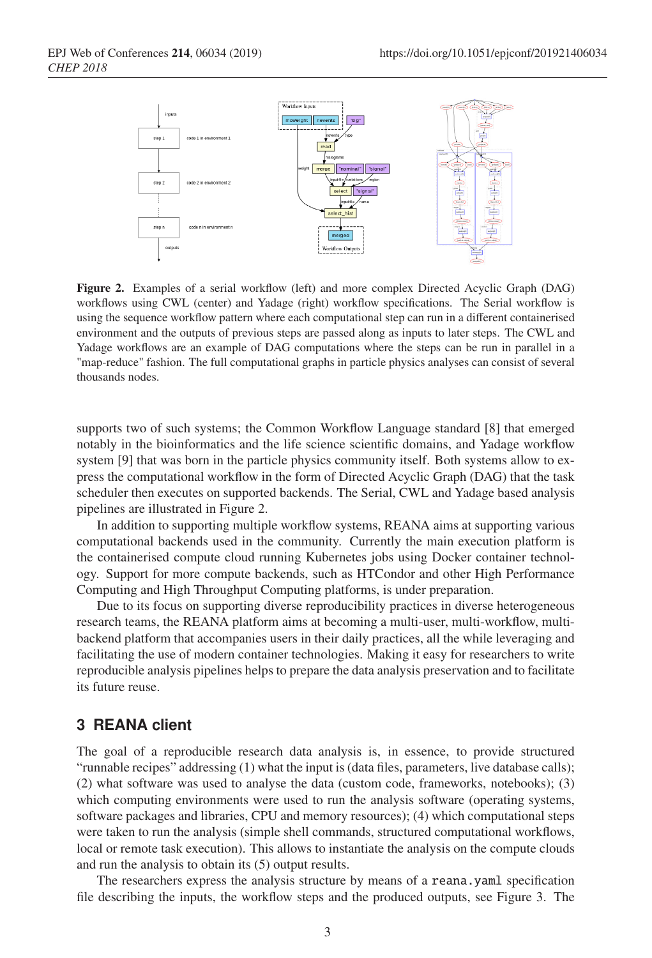

Figure 2. Examples of a serial workflow (left) and more complex Directed Acyclic Graph (DAG) workflows using CWL (center) and Yadage (right) workflow specifications. The Serial workflow is using the sequence workflow pattern where each computational step can run in a different containerised environment and the outputs of previous steps are passed along as inputs to later steps. The CWL and Yadage workflows are an example of DAG computations where the steps can be run in parallel in a "map-reduce" fashion. The full computational graphs in particle physics analyses can consist of several thousands nodes.

supports two of such systems; the Common Workflow Language standard [8] that emerged notably in the bioinformatics and the life science scientific domains, and Yadage workflow system [9] that was born in the particle physics community itself. Both systems allow to express the computational workflow in the form of Directed Acyclic Graph (DAG) that the task scheduler then executes on supported backends. The Serial, CWL and Yadage based analysis pipelines are illustrated in Figure 2.

In addition to supporting multiple workflow systems, REANA aims at supporting various computational backends used in the community. Currently the main execution platform is the containerised compute cloud running Kubernetes jobs using Docker container technology. Support for more compute backends, such as HTCondor and other High Performance Computing and High Throughput Computing platforms, is under preparation.

Due to its focus on supporting diverse reproducibility practices in diverse heterogeneous research teams, the REANA platform aims at becoming a multi-user, multi-workflow, multibackend platform that accompanies users in their daily practices, all the while leveraging and facilitating the use of modern container technologies. Making it easy for researchers to write reproducible analysis pipelines helps to prepare the data analysis preservation and to facilitate its future reuse.

#### **3 REANA client**

The goal of a reproducible research data analysis is, in essence, to provide structured "runnable recipes" addressing (1) what the input is (data files, parameters, live database calls); (2) what software was used to analyse the data (custom code, frameworks, notebooks); (3) which computing environments were used to run the analysis software (operating systems, software packages and libraries, CPU and memory resources); (4) which computational steps were taken to run the analysis (simple shell commands, structured computational workflows, local or remote task execution). This allows to instantiate the analysis on the compute clouds and run the analysis to obtain its (5) output results.

The researchers express the analysis structure by means of a reana.yaml specification file describing the inputs, the workflow steps and the produced outputs, see Figure 3. The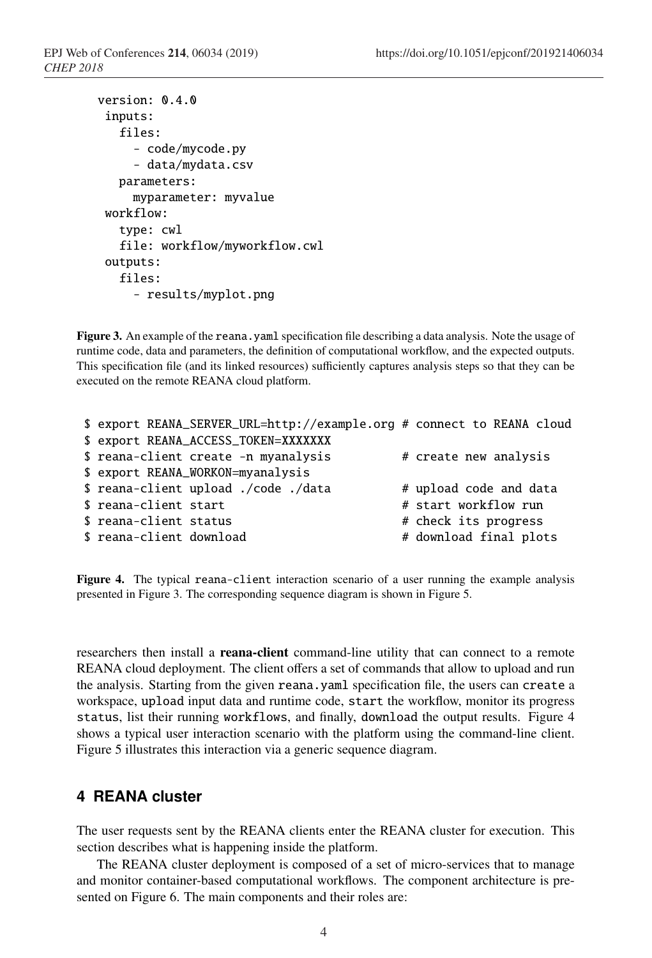```
version: 0.4.0
 inputs:
   files:
     - code/mycode.py
     - data/mydata.csv
   parameters:
     myparameter: myvalue
 workflow:
   type: cwl
   file: workflow/myworkflow.cwl
 outputs:
   files:
     - results/myplot.png
```
Figure 3. An example of the reana.yaml specification file describing a data analysis. Note the usage of runtime code, data and parameters, the definition of computational workflow, and the expected outputs. This specification file (and its linked resources) sufficiently captures analysis steps so that they can be executed on the remote REANA cloud platform.

```
$ export REANA_SERVER_URL=http://example.org # connect to REANA cloud
$ export REANA_ACCESS_TOKEN=XXXXXXX
$ reana-client create -n myanalysis # create new analysis
$ export REANA_WORKON=myanalysis
$ reana-client upload ./code ./data # upload code and data
$ reana-client start \qquad \qquad \qquad \text{# start workflow run}$ reana-client status # check its progress
$ reana-client download # download final plots
```
Figure 4. The typical reana-client interaction scenario of a user running the example analysis presented in Figure 3. The corresponding sequence diagram is shown in Figure 5.

researchers then install a **reana-client** command-line utility that can connect to a remote REANA cloud deployment. The client offers a set of commands that allow to upload and run the analysis. Starting from the given reana.yaml specification file, the users can create a workspace, upload input data and runtime code, start the workflow, monitor its progress status, list their running workflows, and finally, download the output results. Figure 4 shows a typical user interaction scenario with the platform using the command-line client. Figure 5 illustrates this interaction via a generic sequence diagram.

## **4 REANA cluster**

The user requests sent by the REANA clients enter the REANA cluster for execution. This section describes what is happening inside the platform.

The REANA cluster deployment is composed of a set of micro-services that to manage and monitor container-based computational workflows. The component architecture is presented on Figure 6. The main components and their roles are: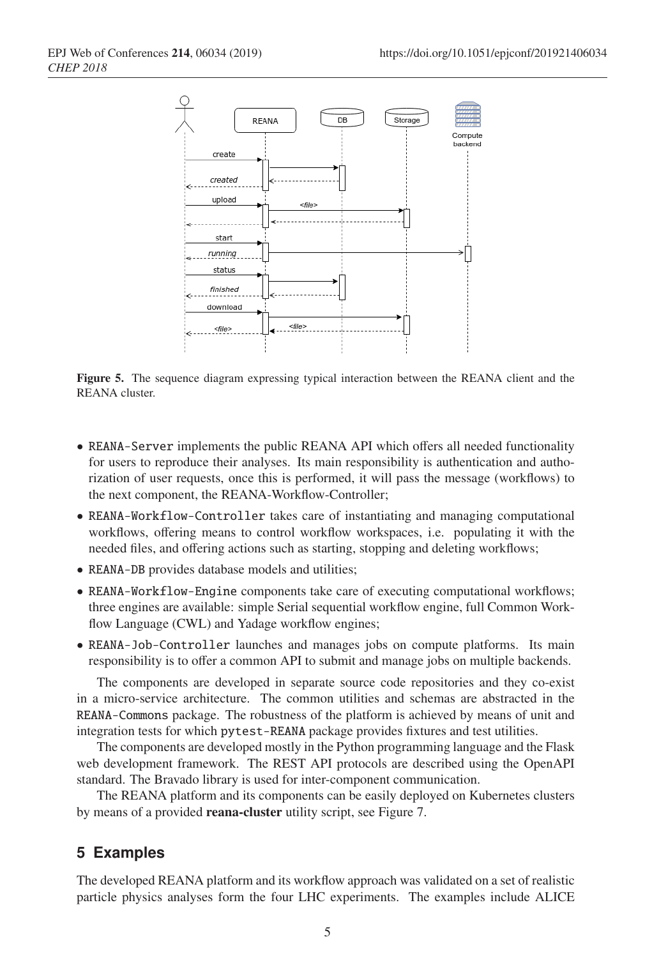

Figure 5. The sequence diagram expressing typical interaction between the REANA client and the REANA cluster.

- REANA-Server implements the public REANA API which offers all needed functionality for users to reproduce their analyses. Its main responsibility is authentication and authorization of user requests, once this is performed, it will pass the message (workflows) to the next component, the REANA-Workflow-Controller;
- REANA-Workflow-Controller takes care of instantiating and managing computational workflows, offering means to control workflow workspaces, i.e. populating it with the needed files, and offering actions such as starting, stopping and deleting workflows;
- REANA-DB provides database models and utilities;
- REANA-Workflow-Engine components take care of executing computational workflows; three engines are available: simple Serial sequential workflow engine, full Common Workflow Language (CWL) and Yadage workflow engines;
- REANA-Job-Controller launches and manages jobs on compute platforms. Its main responsibility is to offer a common API to submit and manage jobs on multiple backends.

The components are developed in separate source code repositories and they co-exist in a micro-service architecture. The common utilities and schemas are abstracted in the REANA-Commons package. The robustness of the platform is achieved by means of unit and integration tests for which pytest-REANA package provides fixtures and test utilities.

The components are developed mostly in the Python programming language and the Flask web development framework. The REST API protocols are described using the OpenAPI standard. The Bravado library is used for inter-component communication.

The REANA platform and its components can be easily deployed on Kubernetes clusters by means of a provided reana-cluster utility script, see Figure 7.

## **5 Examples**

The developed REANA platform and its workflow approach was validated on a set of realistic particle physics analyses form the four LHC experiments. The examples include ALICE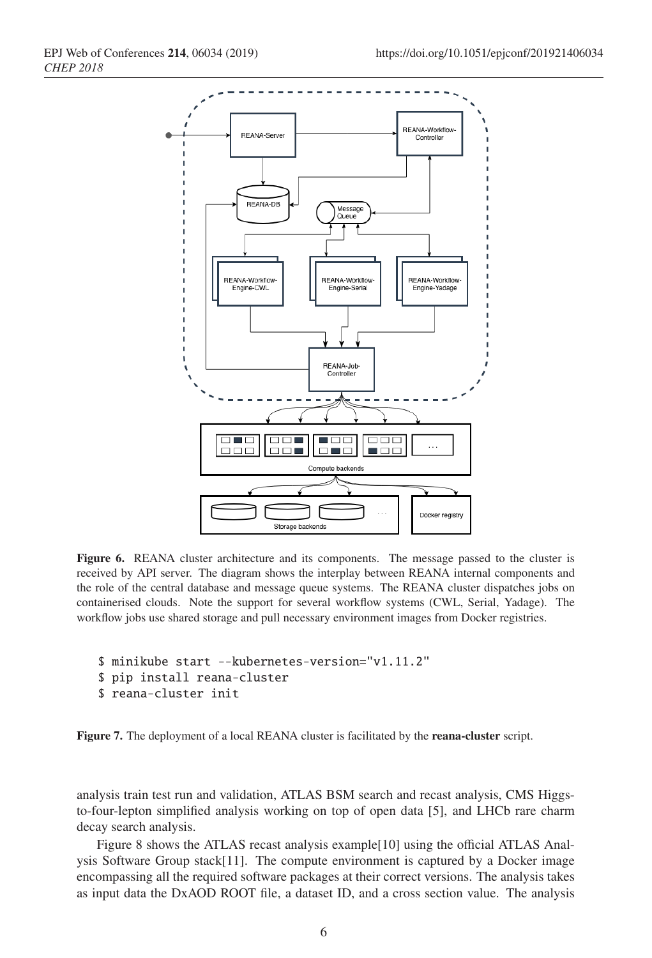

Figure 6. REANA cluster architecture and its components. The message passed to the cluster is received by API server. The diagram shows the interplay between REANA internal components and the role of the central database and message queue systems. The REANA cluster dispatches jobs on containerised clouds. Note the support for several workflow systems (CWL, Serial, Yadage). The workflow jobs use shared storage and pull necessary environment images from Docker registries.

```
$ minikube start --kubernetes-version="v1.11.2"
$ pip install reana-cluster
```

```
$ reana-cluster init
```
Figure 7. The deployment of a local REANA cluster is facilitated by the reana-cluster script.

analysis train test run and validation, ATLAS BSM search and recast analysis, CMS Higgsto-four-lepton simplified analysis working on top of open data [5], and LHCb rare charm decay search analysis.

Figure 8 shows the ATLAS recast analysis example[10] using the official ATLAS Analysis Software Group stack[11]. The compute environment is captured by a Docker image encompassing all the required software packages at their correct versions. The analysis takes as input data the DxAOD ROOT file, a dataset ID, and a cross section value. The analysis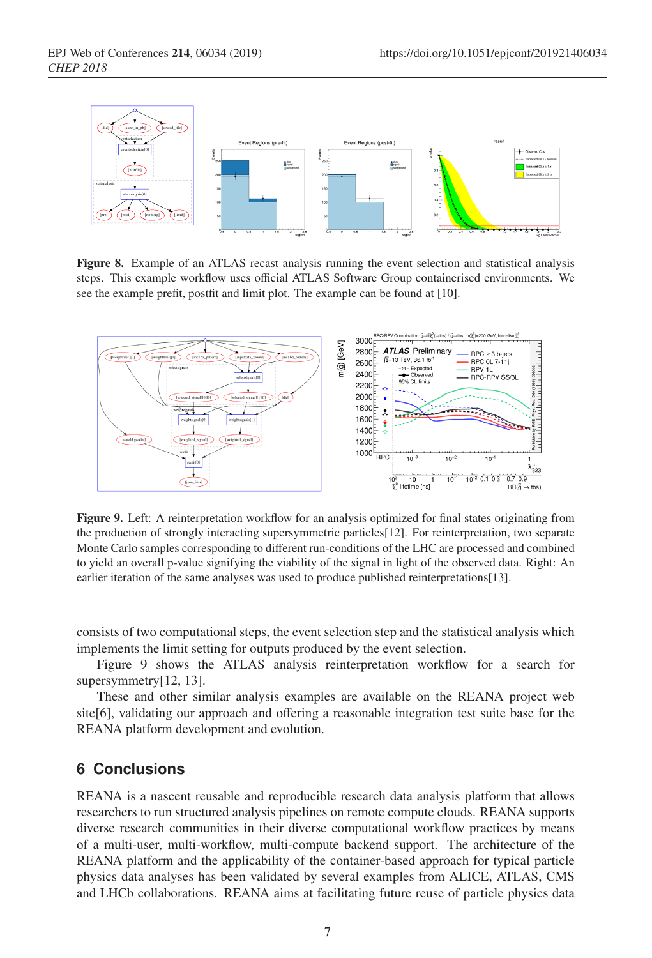

Figure 8. Example of an ATLAS recast analysis running the event selection and statistical analysis steps. This example workflow uses official ATLAS Software Group containerised environments. We see the example prefit, postfit and limit plot. The example can be found at [10].



Figure 9. Left: A reinterpretation workflow for an analysis optimized for final states originating from the production of strongly interacting supersymmetric particles[12]. For reinterpretation, two separate Monte Carlo samples corresponding to different run-conditions of the LHC are processed and combined to yield an overall p-value signifying the viability of the signal in light of the observed data. Right: An earlier iteration of the same analyses was used to produce published reinterpretations[13].

consists of two computational steps, the event selection step and the statistical analysis which implements the limit setting for outputs produced by the event selection.

Figure 9 shows the ATLAS analysis reinterpretation workflow for a search for supersymmetry[12, 13].

These and other similar analysis examples are available on the REANA project web site[6], validating our approach and offering a reasonable integration test suite base for the REANA platform development and evolution.

### **6 Conclusions**

REANA is a nascent reusable and reproducible research data analysis platform that allows researchers to run structured analysis pipelines on remote compute clouds. REANA supports diverse research communities in their diverse computational workflow practices by means of a multi-user, multi-workflow, multi-compute backend support. The architecture of the REANA platform and the applicability of the container-based approach for typical particle physics data analyses has been validated by several examples from ALICE, ATLAS, CMS and LHCb collaborations. REANA aims at facilitating future reuse of particle physics data